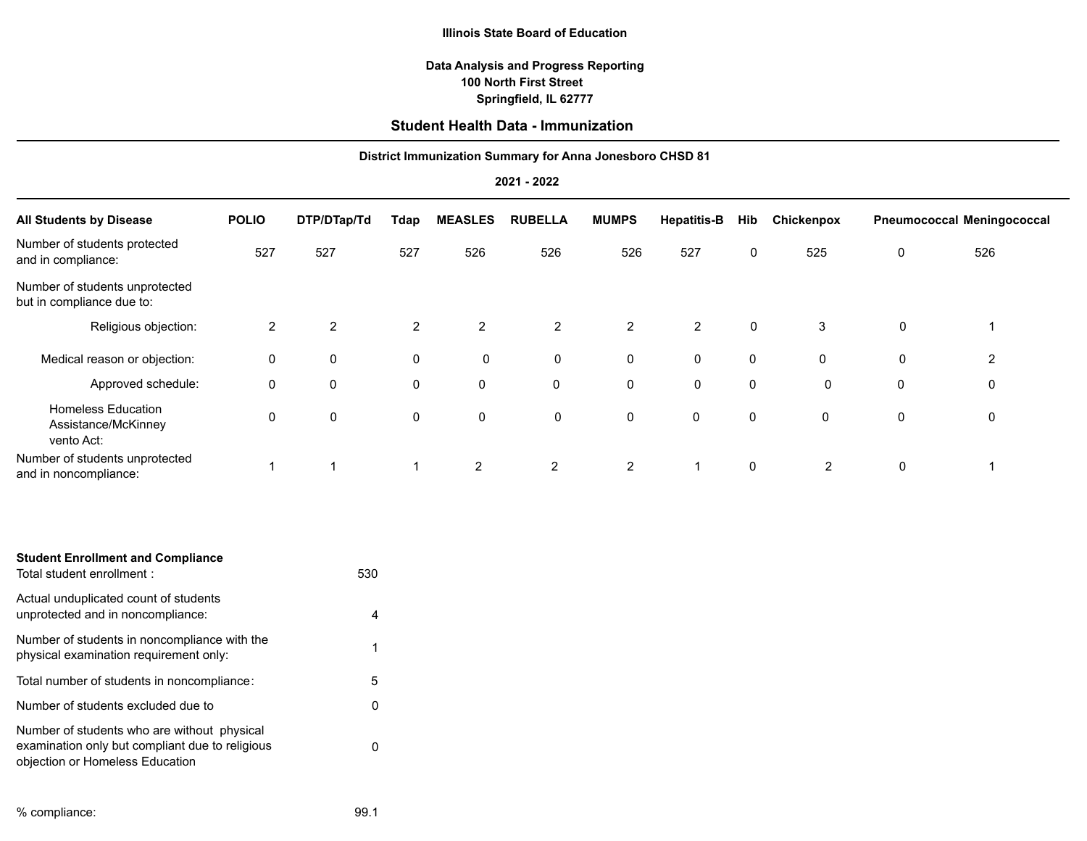#### **Illinois State Board of Education**

## **Springfield, IL 62777 100 North First Street Data Analysis and Progress Reporting**

# **Student Health Data - Immunization**

## **District Immunization Summary for Anna Jonesboro CHSD 81**

#### **2021 - 2022**

| <b>All Students by Disease</b>                                 | <b>POLIO</b>   | DTP/DTap/Td    | Tdap           | <b>MEASLES</b> | <b>RUBELLA</b> | <b>MUMPS</b>   | <b>Hepatitis-B</b> | Hib | Chickenpox |             | <b>Pneumococcal Meningococcal</b> |
|----------------------------------------------------------------|----------------|----------------|----------------|----------------|----------------|----------------|--------------------|-----|------------|-------------|-----------------------------------|
| Number of students protected<br>and in compliance:             | 527            | 527            | 527            | 526            | 526            | 526            | 527                | 0   | 525        | 0           | 526                               |
| Number of students unprotected<br>but in compliance due to:    |                |                |                |                |                |                |                    |     |            |             |                                   |
| Religious objection:                                           | $\overline{2}$ | $\overline{2}$ | $\overline{2}$ | 2              | $\overline{2}$ | $\overline{2}$ | $\overline{2}$     | 0   | 3          | 0           |                                   |
| Medical reason or objection:                                   | 0              | $\mathbf 0$    | 0              | $\mathbf 0$    | $\mathbf 0$    | 0              | 0                  | 0   | 0          | $\mathbf 0$ | 2                                 |
| Approved schedule:                                             | 0              | 0              | 0              | 0              | $\mathbf 0$    | $\mathbf 0$    | 0                  | 0   | 0          | 0           | 0                                 |
| <b>Homeless Education</b><br>Assistance/McKinney<br>vento Act: | 0              | 0              | $\mathbf 0$    | 0              | 0              | 0              | 0                  | 0   | 0          | $\mathbf 0$ | 0                                 |
| Number of students unprotected<br>and in noncompliance:        |                |                |                | 2              | 2              | $\overline{2}$ |                    | 0   | 2          | $\mathbf 0$ |                                   |

| <b>Student Enrollment and Compliance</b><br>Total student enrollment :                                                            | 530 |
|-----------------------------------------------------------------------------------------------------------------------------------|-----|
| Actual unduplicated count of students<br>unprotected and in noncompliance:                                                        | 4   |
| Number of students in noncompliance with the<br>physical examination requirement only:                                            | 1   |
| Total number of students in noncompliance:                                                                                        | 5   |
| Number of students excluded due to                                                                                                |     |
| Number of students who are without physical<br>examination only but compliant due to religious<br>objection or Homeless Education |     |